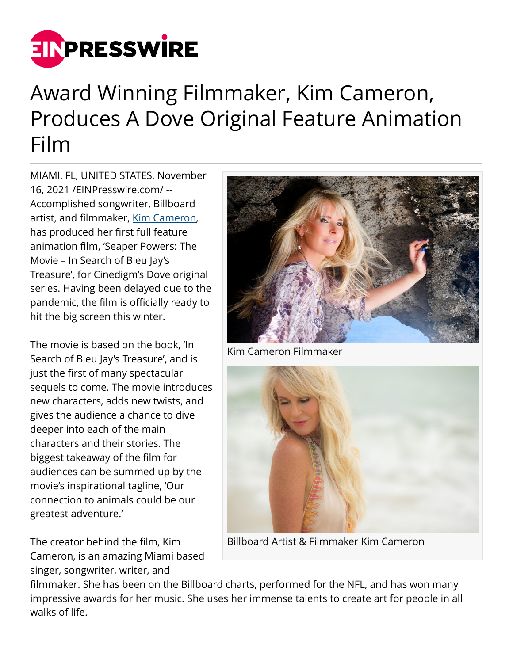

## Award Winning Filmmaker, Kim Cameron, Produces A Dove Original Feature Animation Film

MIAMI, FL, UNITED STATES, November 16, 2021 /[EINPresswire.com/](http://www.einpresswire.com) -- Accomplished songwriter, Billboard artist, and filmmaker, [Kim Cameron](https://www.youtube.com/watch?v=mVRxKncDVT0), has produced her first full feature animation film, 'Seaper Powers: The Movie – In Search of Bleu Jay's Treasure', for Cinedigm's Dove original series. Having been delayed due to the pandemic, the film is officially ready to hit the big screen this winter.

The movie is based on the book, 'In Search of Bleu Jay's Treasure', and is just the first of many spectacular sequels to come. The movie introduces new characters, adds new twists, and gives the audience a chance to dive deeper into each of the main characters and their stories. The biggest takeaway of the film for audiences can be summed up by the movie's inspirational tagline, 'Our connection to animals could be our greatest adventure.'

The creator behind the film, Kim Cameron, is an amazing Miami based singer, songwriter, writer, and



Kim Cameron Filmmaker



Billboard Artist & Filmmaker Kim Cameron

filmmaker. She has been on the Billboard charts, performed for the NFL, and has won many impressive awards for her music. She uses her immense talents to create art for people in all walks of life.